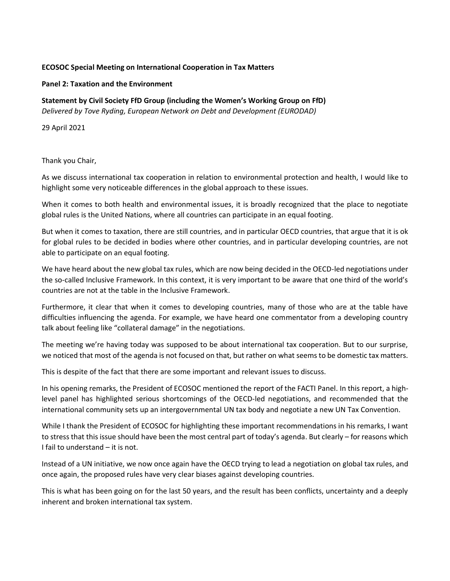## **ECOSOC Special Meeting on International Cooperation in Tax Matters**

## **Panel 2: Taxation and the Environment**

## **Statement by Civil Society FfD Group (including the Women's Working Group on FfD)**

*Delivered by Tove Ryding, European Network on Debt and Development (EURODAD)*

29 April 2021

Thank you Chair,

As we discuss international tax cooperation in relation to environmental protection and health, I would like to highlight some very noticeable differences in the global approach to these issues.

When it comes to both health and environmental issues, it is broadly recognized that the place to negotiate global rules is the United Nations, where all countries can participate in an equal footing.

But when it comes to taxation, there are still countries, and in particular OECD countries, that argue that it is ok for global rules to be decided in bodies where other countries, and in particular developing countries, are not able to participate on an equal footing.

We have heard about the new global tax rules, which are now being decided in the OECD-led negotiations under the so-called Inclusive Framework. In this context, it is very important to be aware that one third of the world's countries are not at the table in the Inclusive Framework.

Furthermore, it clear that when it comes to developing countries, many of those who are at the table have difficulties influencing the agenda. For example, we have heard one commentator from a developing country talk about feeling like "collateral damage" in the negotiations.

The meeting we're having today was supposed to be about international tax cooperation. But to our surprise, we noticed that most of the agenda is not focused on that, but rather on what seems to be domestic tax matters.

This is despite of the fact that there are some important and relevant issues to discuss.

In his opening remarks, the President of ECOSOC mentioned the report of the FACTI Panel. In this report, a highlevel panel has highlighted serious shortcomings of the OECD-led negotiations, and recommended that the international community sets up an intergovernmental UN tax body and negotiate a new UN Tax Convention.

While I thank the President of ECOSOC for highlighting these important recommendations in his remarks, I want to stress that this issue should have been the most central part of today's agenda. But clearly – for reasons which I fail to understand – it is not.

Instead of a UN initiative, we now once again have the OECD trying to lead a negotiation on global tax rules, and once again, the proposed rules have very clear biases against developing countries.

This is what has been going on for the last 50 years, and the result has been conflicts, uncertainty and a deeply inherent and broken international tax system.